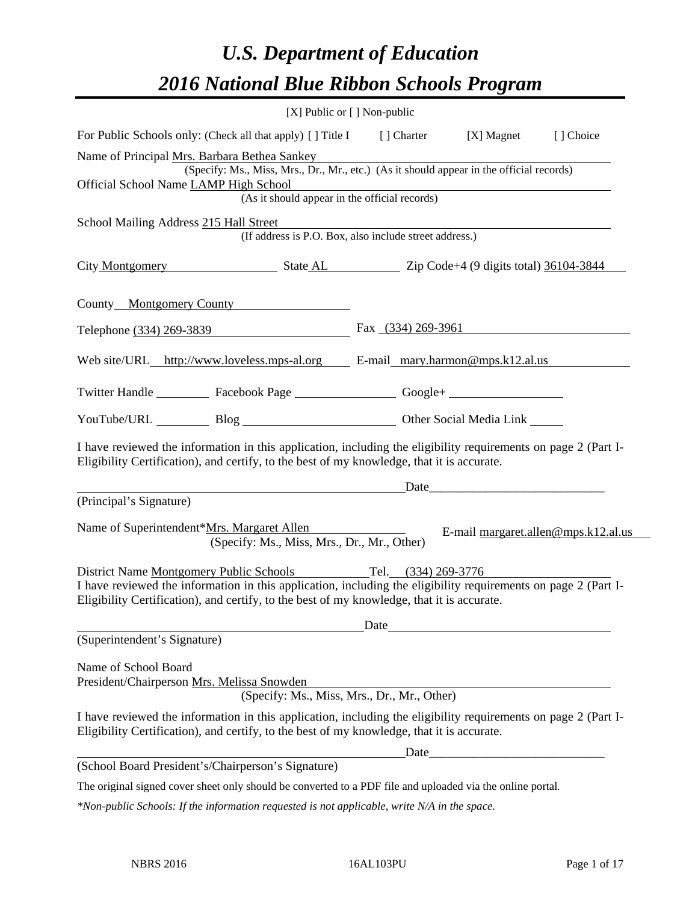# *U.S. Department of Education 2016 National Blue Ribbon Schools Program*

|                                                                                                                                                                                                                                                                             | [X] Public or [] Non-public                                                              |                                                                                                                                                                                                                               |                                     |
|-----------------------------------------------------------------------------------------------------------------------------------------------------------------------------------------------------------------------------------------------------------------------------|------------------------------------------------------------------------------------------|-------------------------------------------------------------------------------------------------------------------------------------------------------------------------------------------------------------------------------|-------------------------------------|
| For Public Schools only: (Check all that apply) [] Title I [] Charter                                                                                                                                                                                                       |                                                                                          | [X] Magnet                                                                                                                                                                                                                    | [] Choice                           |
| Name of Principal Mrs. Barbara Bethea Sankey                                                                                                                                                                                                                                |                                                                                          |                                                                                                                                                                                                                               |                                     |
|                                                                                                                                                                                                                                                                             | (Specify: Ms., Miss, Mrs., Dr., Mr., etc.) (As it should appear in the official records) |                                                                                                                                                                                                                               |                                     |
| Official School Name LAMP High School                                                                                                                                                                                                                                       | (As it should appear in the official records)                                            |                                                                                                                                                                                                                               |                                     |
|                                                                                                                                                                                                                                                                             |                                                                                          |                                                                                                                                                                                                                               |                                     |
| School Mailing Address 215 Hall Street                                                                                                                                                                                                                                      | (If address is P.O. Box, also include street address.)                                   |                                                                                                                                                                                                                               |                                     |
| City Montgomery State AL Zip Code+4 (9 digits total) 36104-3844                                                                                                                                                                                                             |                                                                                          |                                                                                                                                                                                                                               |                                     |
| County Montgomery County                                                                                                                                                                                                                                                    |                                                                                          |                                                                                                                                                                                                                               |                                     |
| Telephone (334) 269-3839 Fax (334) 269-3961                                                                                                                                                                                                                                 |                                                                                          |                                                                                                                                                                                                                               |                                     |
| Web site/URL_http://www.loveless.mps-al.org E-mail_mary.harmon@mps.k12.al.us                                                                                                                                                                                                |                                                                                          |                                                                                                                                                                                                                               |                                     |
| Twitter Handle ____________ Facebook Page ____________________ Google+ _____________________________                                                                                                                                                                        |                                                                                          |                                                                                                                                                                                                                               |                                     |
| YouTube/URL Blog Blog Discount Cher Social Media Link                                                                                                                                                                                                                       |                                                                                          |                                                                                                                                                                                                                               |                                     |
| I have reviewed the information in this application, including the eligibility requirements on page 2 (Part I-<br>Eligibility Certification), and certify, to the best of my knowledge, that it is accurate.                                                                |                                                                                          |                                                                                                                                                                                                                               |                                     |
|                                                                                                                                                                                                                                                                             |                                                                                          | Date and the same state of the state of the state of the state of the state of the state of the state of the state of the state of the state of the state of the state of the state of the state of the state of the state of |                                     |
| (Principal's Signature)                                                                                                                                                                                                                                                     |                                                                                          |                                                                                                                                                                                                                               |                                     |
| Name of Superintendent*Mrs. Margaret Allen                                                                                                                                                                                                                                  | (Specify: Ms., Miss, Mrs., Dr., Mr., Other)                                              |                                                                                                                                                                                                                               | E-mail margaret.allen@mps.k12.al.us |
| District Name Montgomery Public Schools Tel. (334) 269-3776<br>I have reviewed the information in this application, including the eligibility requirements on page 2 (Part I-<br>Eligibility Certification), and certify, to the best of my knowledge, that it is accurate. |                                                                                          |                                                                                                                                                                                                                               |                                     |
| (Superintendent's Signature)                                                                                                                                                                                                                                                |                                                                                          | Date                                                                                                                                                                                                                          |                                     |
|                                                                                                                                                                                                                                                                             |                                                                                          |                                                                                                                                                                                                                               |                                     |
| Name of School Board                                                                                                                                                                                                                                                        |                                                                                          |                                                                                                                                                                                                                               |                                     |
| President/Chairperson Mrs. Melissa Snowden                                                                                                                                                                                                                                  | issa Snowgen<br>(Specify: Ms., Miss, Mrs., Dr., Mr., Other)                              |                                                                                                                                                                                                                               |                                     |
| I have reviewed the information in this application, including the eligibility requirements on page 2 (Part I-                                                                                                                                                              |                                                                                          |                                                                                                                                                                                                                               |                                     |
| Eligibility Certification), and certify, to the best of my knowledge, that it is accurate.                                                                                                                                                                                  |                                                                                          |                                                                                                                                                                                                                               |                                     |
|                                                                                                                                                                                                                                                                             |                                                                                          |                                                                                                                                                                                                                               |                                     |
| (School Board President's/Chairperson's Signature)                                                                                                                                                                                                                          |                                                                                          |                                                                                                                                                                                                                               |                                     |
| The original signed cover sheet only should be converted to a PDF file and uploaded via the online portal.                                                                                                                                                                  |                                                                                          |                                                                                                                                                                                                                               |                                     |

*\*Non-public Schools: If the information requested is not applicable, write N/A in the space.*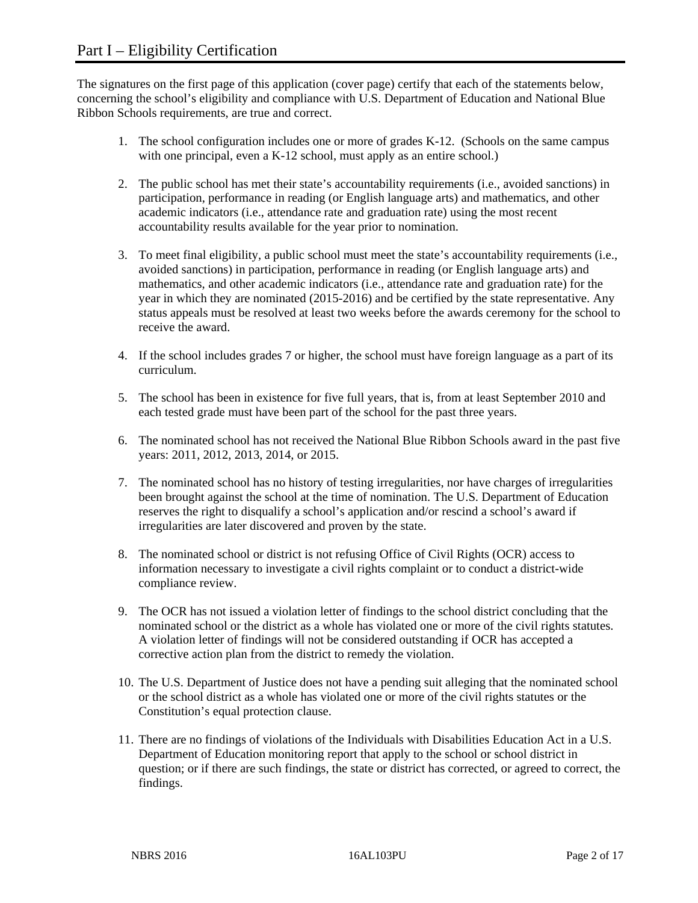The signatures on the first page of this application (cover page) certify that each of the statements below, concerning the school's eligibility and compliance with U.S. Department of Education and National Blue Ribbon Schools requirements, are true and correct.

- 1. The school configuration includes one or more of grades K-12. (Schools on the same campus with one principal, even a K-12 school, must apply as an entire school.)
- 2. The public school has met their state's accountability requirements (i.e., avoided sanctions) in participation, performance in reading (or English language arts) and mathematics, and other academic indicators (i.e., attendance rate and graduation rate) using the most recent accountability results available for the year prior to nomination.
- 3. To meet final eligibility, a public school must meet the state's accountability requirements (i.e., avoided sanctions) in participation, performance in reading (or English language arts) and mathematics, and other academic indicators (i.e., attendance rate and graduation rate) for the year in which they are nominated (2015-2016) and be certified by the state representative. Any status appeals must be resolved at least two weeks before the awards ceremony for the school to receive the award.
- 4. If the school includes grades 7 or higher, the school must have foreign language as a part of its curriculum.
- 5. The school has been in existence for five full years, that is, from at least September 2010 and each tested grade must have been part of the school for the past three years.
- 6. The nominated school has not received the National Blue Ribbon Schools award in the past five years: 2011, 2012, 2013, 2014, or 2015.
- 7. The nominated school has no history of testing irregularities, nor have charges of irregularities been brought against the school at the time of nomination. The U.S. Department of Education reserves the right to disqualify a school's application and/or rescind a school's award if irregularities are later discovered and proven by the state.
- 8. The nominated school or district is not refusing Office of Civil Rights (OCR) access to information necessary to investigate a civil rights complaint or to conduct a district-wide compliance review.
- 9. The OCR has not issued a violation letter of findings to the school district concluding that the nominated school or the district as a whole has violated one or more of the civil rights statutes. A violation letter of findings will not be considered outstanding if OCR has accepted a corrective action plan from the district to remedy the violation.
- 10. The U.S. Department of Justice does not have a pending suit alleging that the nominated school or the school district as a whole has violated one or more of the civil rights statutes or the Constitution's equal protection clause.
- 11. There are no findings of violations of the Individuals with Disabilities Education Act in a U.S. Department of Education monitoring report that apply to the school or school district in question; or if there are such findings, the state or district has corrected, or agreed to correct, the findings.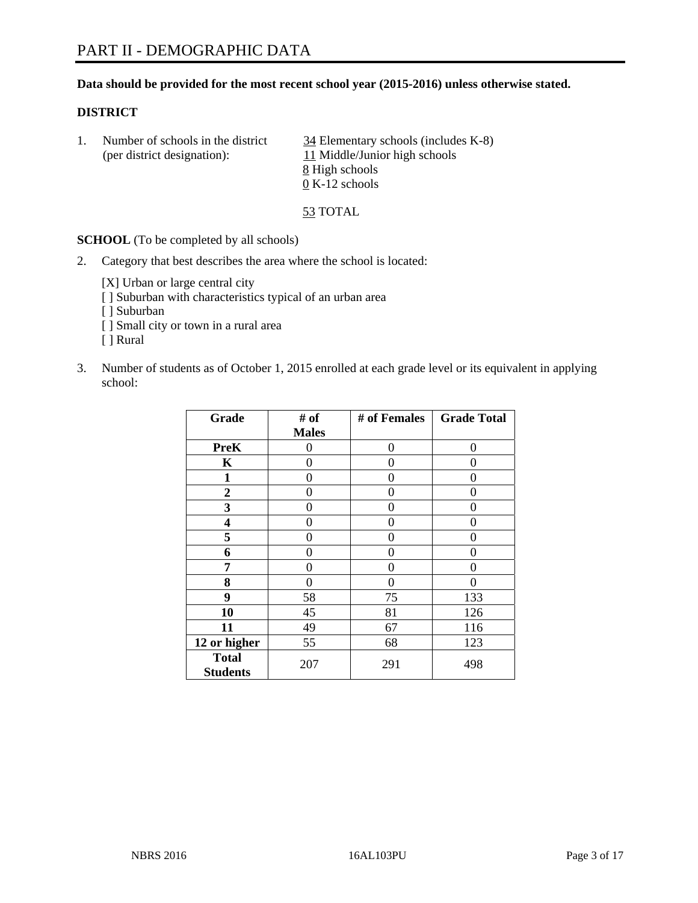# **Data should be provided for the most recent school year (2015-2016) unless otherwise stated.**

# **DISTRICT**

1. Number of schools in the district  $\frac{34}{2}$  Elementary schools (includes K-8) (per district designation): 11 Middle/Junior high schools 8 High schools 0 K-12 schools

53 TOTAL

**SCHOOL** (To be completed by all schools)

2. Category that best describes the area where the school is located:

[X] Urban or large central city

- [ ] Suburban with characteristics typical of an urban area
- [ ] Suburban
- [ ] Small city or town in a rural area
- [ ] Rural
- 3. Number of students as of October 1, 2015 enrolled at each grade level or its equivalent in applying school:

| Grade                           | # of         | # of Females | <b>Grade Total</b> |
|---------------------------------|--------------|--------------|--------------------|
|                                 | <b>Males</b> |              |                    |
| <b>PreK</b>                     | 0            | $\theta$     | 0                  |
| $\mathbf K$                     | 0            | 0            | 0                  |
| $\mathbf{1}$                    | 0            | 0            | 0                  |
| $\boldsymbol{2}$                | 0            | 0            | 0                  |
| 3                               | 0            | $\theta$     | 0                  |
| 4                               | 0            | 0            | 0                  |
| 5                               | 0            | 0            | 0                  |
| 6                               | 0            | 0            | 0                  |
| 7                               | 0            | 0            | 0                  |
| 8                               | 0            | 0            | 0                  |
| 9                               | 58           | 75           | 133                |
| 10                              | 45           | 81           | 126                |
| 11                              | 49           | 67           | 116                |
| 12 or higher                    | 55           | 68           | 123                |
| <b>Total</b><br><b>Students</b> | 207          | 291          | 498                |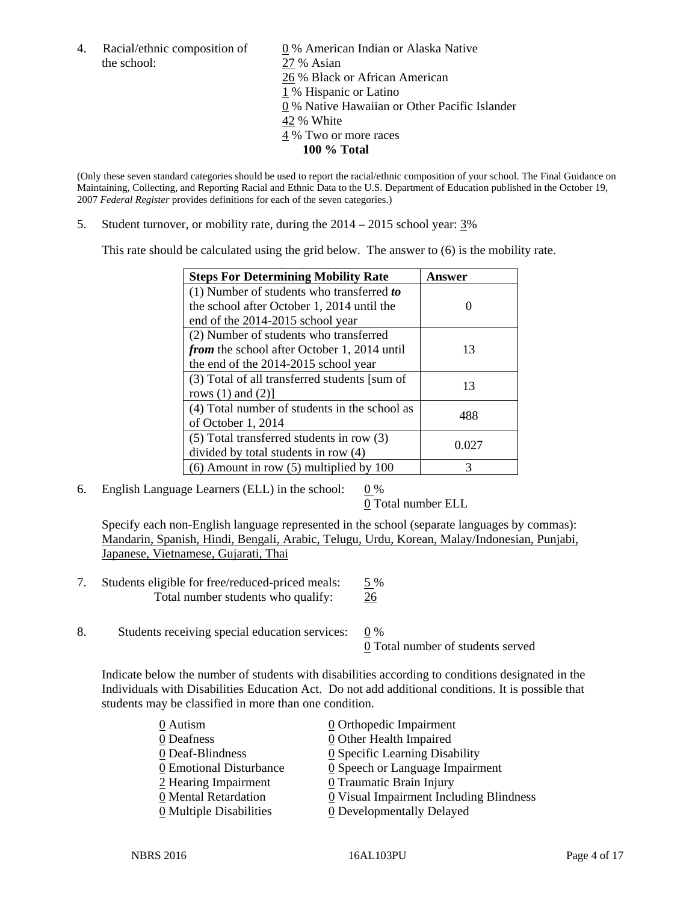the school: 27 % Asian

4. Racial/ethnic composition of  $\qquad 0\%$  American Indian or Alaska Native 26 % Black or African American 1 % Hispanic or Latino 0 % Native Hawaiian or Other Pacific Islander 42 % White 4 % Two or more races **100 % Total** 

(Only these seven standard categories should be used to report the racial/ethnic composition of your school. The Final Guidance on Maintaining, Collecting, and Reporting Racial and Ethnic Data to the U.S. Department of Education published in the October 19, 2007 *Federal Register* provides definitions for each of the seven categories.)

5. Student turnover, or mobility rate, during the 2014 – 2015 school year: 3%

This rate should be calculated using the grid below. The answer to (6) is the mobility rate.

| <b>Steps For Determining Mobility Rate</b>    | Answer |  |
|-----------------------------------------------|--------|--|
| $(1)$ Number of students who transferred to   |        |  |
| the school after October 1, 2014 until the    |        |  |
| end of the 2014-2015 school year              |        |  |
| (2) Number of students who transferred        |        |  |
| from the school after October 1, 2014 until   | 13     |  |
| the end of the 2014-2015 school year          |        |  |
| (3) Total of all transferred students [sum of | 13     |  |
| rows $(1)$ and $(2)$ ]                        |        |  |
| (4) Total number of students in the school as | 488    |  |
| of October 1, 2014                            |        |  |
| $(5)$ Total transferred students in row $(3)$ | 0.027  |  |
| divided by total students in row (4)          |        |  |
| $(6)$ Amount in row $(5)$ multiplied by 100   | 3      |  |

6. English Language Learners (ELL) in the school:  $0\%$ 

0 Total number ELL

 Specify each non-English language represented in the school (separate languages by commas): Mandarin, Spanish, Hindi, Bengali, Arabic, Telugu, Urdu, Korean, Malay/Indonesian, Punjabi, Japanese, Vietnamese, Gujarati, Thai

- 7. Students eligible for free/reduced-priced meals: 5 % Total number students who qualify: 26
- 8. Students receiving special education services: 0 % 0 Total number of students served

Indicate below the number of students with disabilities according to conditions designated in the Individuals with Disabilities Education Act. Do not add additional conditions. It is possible that students may be classified in more than one condition.

| 0 Autism                              | 0 Orthopedic Impairment                       |
|---------------------------------------|-----------------------------------------------|
| 0 Deafness                            | 0 Other Health Impaired                       |
| 0 Deaf-Blindness                      | 0 Specific Learning Disability                |
| 0 Emotional Disturbance               | $\underline{0}$ Speech or Language Impairment |
| 2 Hearing Impairment                  | $\underline{0}$ Traumatic Brain Injury        |
| 0 Mental Retardation                  | 0 Visual Impairment Including Blindness       |
| $\underline{0}$ Multiple Disabilities | <b>0</b> Developmentally Delayed              |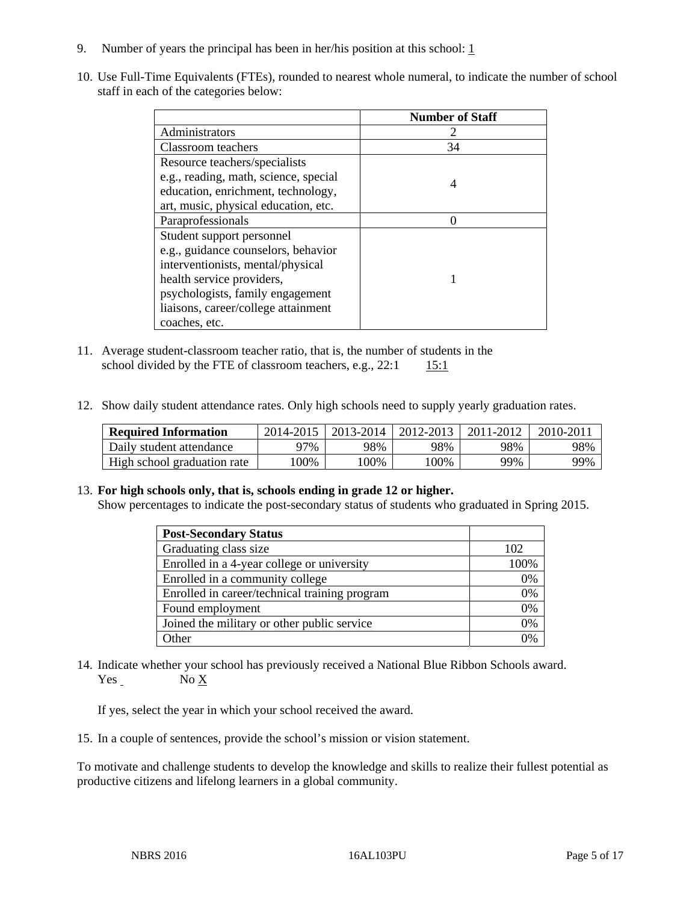- 9. Number of years the principal has been in her/his position at this school:  $1$
- 10. Use Full-Time Equivalents (FTEs), rounded to nearest whole numeral, to indicate the number of school staff in each of the categories below:

|                                       | <b>Number of Staff</b> |
|---------------------------------------|------------------------|
| Administrators                        |                        |
| Classroom teachers                    | 34                     |
| Resource teachers/specialists         |                        |
| e.g., reading, math, science, special |                        |
| education, enrichment, technology,    |                        |
| art, music, physical education, etc.  |                        |
| Paraprofessionals                     |                        |
| Student support personnel             |                        |
| e.g., guidance counselors, behavior   |                        |
| interventionists, mental/physical     |                        |
| health service providers,             |                        |
| psychologists, family engagement      |                        |
| liaisons, career/college attainment   |                        |
| coaches, etc.                         |                        |

- 11. Average student-classroom teacher ratio, that is, the number of students in the school divided by the FTE of classroom teachers, e.g.,  $22:1$  15:1
- 12. Show daily student attendance rates. Only high schools need to supply yearly graduation rates.

| <b>Required Information</b> | 2014-2015 | 2013-2014 | 2012-2013 | 2011-2012 | $2010 - 201$ |
|-----------------------------|-----------|-----------|-----------|-----------|--------------|
| Daily student attendance    | 97%       | 98%       | 98%       | 98%       | 98%          |
| High school graduation rate | 00%       | 00%       | 00%       | 99%       | 99%          |

#### 13. **For high schools only, that is, schools ending in grade 12 or higher.**

Show percentages to indicate the post-secondary status of students who graduated in Spring 2015.

| <b>Post-Secondary Status</b>                  |              |
|-----------------------------------------------|--------------|
| Graduating class size                         | 102          |
| Enrolled in a 4-year college or university    | 100\%        |
| Enrolled in a community college               | 0%           |
| Enrolled in career/technical training program | 0%           |
| Found employment                              | 0%           |
| Joined the military or other public service   | 0%           |
| <b>Other</b>                                  | $\gamma_{0}$ |

14. Indicate whether your school has previously received a National Blue Ribbon Schools award. Yes No X

If yes, select the year in which your school received the award.

15. In a couple of sentences, provide the school's mission or vision statement.

To motivate and challenge students to develop the knowledge and skills to realize their fullest potential as productive citizens and lifelong learners in a global community.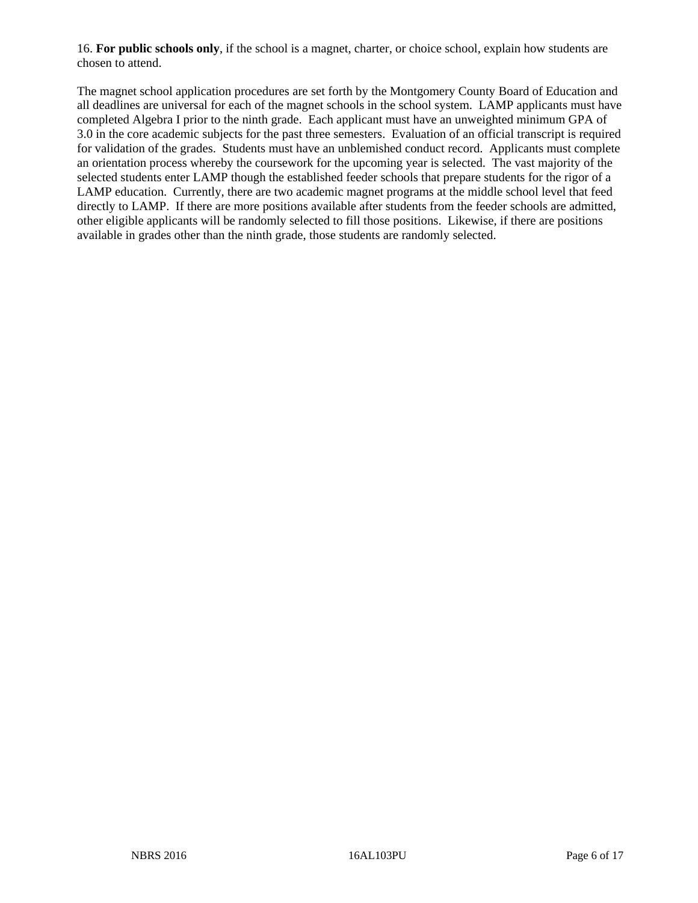16. **For public schools only**, if the school is a magnet, charter, or choice school, explain how students are chosen to attend.

The magnet school application procedures are set forth by the Montgomery County Board of Education and all deadlines are universal for each of the magnet schools in the school system. LAMP applicants must have completed Algebra I prior to the ninth grade. Each applicant must have an unweighted minimum GPA of 3.0 in the core academic subjects for the past three semesters. Evaluation of an official transcript is required for validation of the grades. Students must have an unblemished conduct record. Applicants must complete an orientation process whereby the coursework for the upcoming year is selected. The vast majority of the selected students enter LAMP though the established feeder schools that prepare students for the rigor of a LAMP education. Currently, there are two academic magnet programs at the middle school level that feed directly to LAMP. If there are more positions available after students from the feeder schools are admitted, other eligible applicants will be randomly selected to fill those positions. Likewise, if there are positions available in grades other than the ninth grade, those students are randomly selected.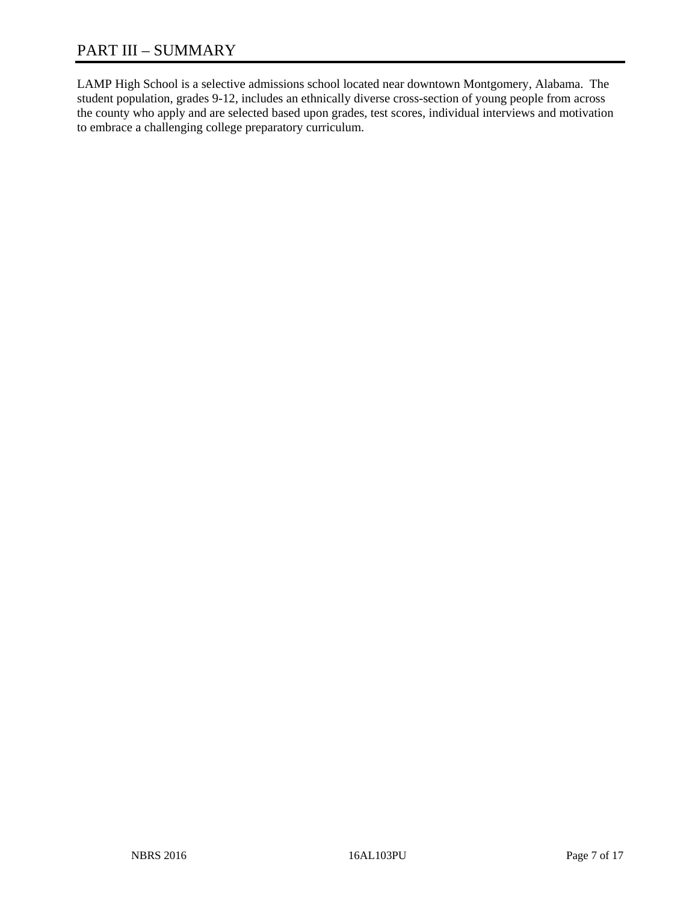# PART III – SUMMARY

LAMP High School is a selective admissions school located near downtown Montgomery, Alabama. The student population, grades 9-12, includes an ethnically diverse cross-section of young people from across the county who apply and are selected based upon grades, test scores, individual interviews and motivation to embrace a challenging college preparatory curriculum.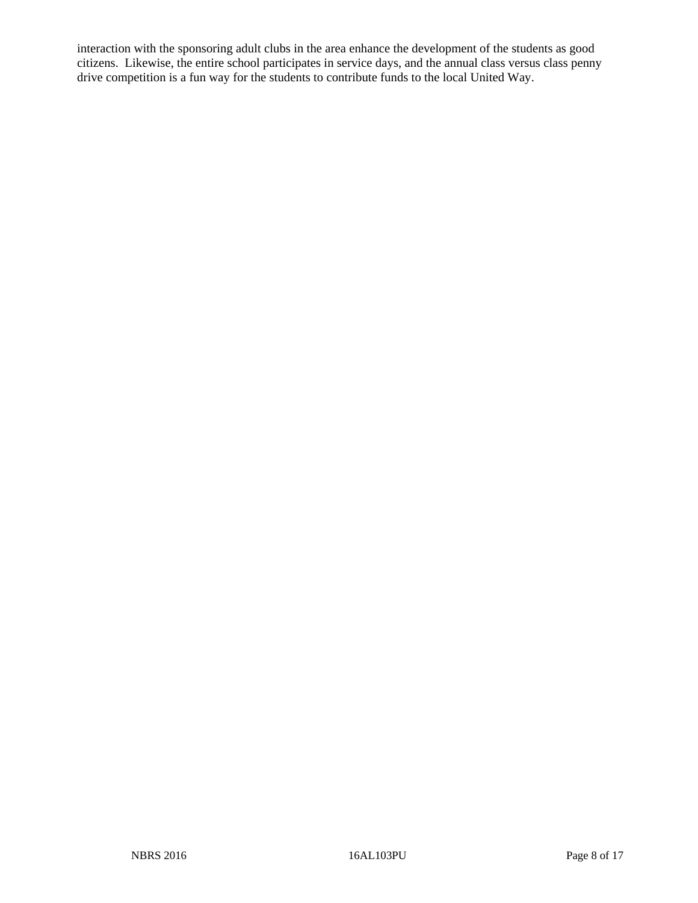interaction with the sponsoring adult clubs in the area enhance the development of the students as good citizens. Likewise, the entire school participates in service days, and the annual class versus class penny drive competition is a fun way for the students to contribute funds to the local United Way.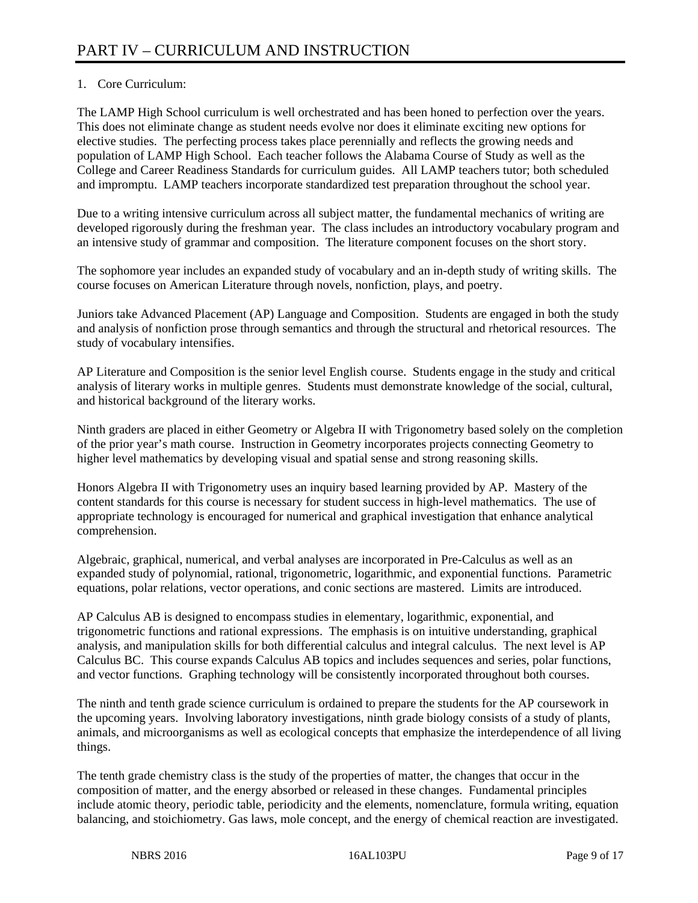# 1. Core Curriculum:

The LAMP High School curriculum is well orchestrated and has been honed to perfection over the years. This does not eliminate change as student needs evolve nor does it eliminate exciting new options for elective studies. The perfecting process takes place perennially and reflects the growing needs and population of LAMP High School. Each teacher follows the Alabama Course of Study as well as the College and Career Readiness Standards for curriculum guides. All LAMP teachers tutor; both scheduled and impromptu. LAMP teachers incorporate standardized test preparation throughout the school year.

Due to a writing intensive curriculum across all subject matter, the fundamental mechanics of writing are developed rigorously during the freshman year. The class includes an introductory vocabulary program and an intensive study of grammar and composition. The literature component focuses on the short story.

The sophomore year includes an expanded study of vocabulary and an in-depth study of writing skills. The course focuses on American Literature through novels, nonfiction, plays, and poetry.

Juniors take Advanced Placement (AP) Language and Composition. Students are engaged in both the study and analysis of nonfiction prose through semantics and through the structural and rhetorical resources. The study of vocabulary intensifies.

AP Literature and Composition is the senior level English course. Students engage in the study and critical analysis of literary works in multiple genres. Students must demonstrate knowledge of the social, cultural, and historical background of the literary works.

Ninth graders are placed in either Geometry or Algebra II with Trigonometry based solely on the completion of the prior year's math course. Instruction in Geometry incorporates projects connecting Geometry to higher level mathematics by developing visual and spatial sense and strong reasoning skills.

Honors Algebra II with Trigonometry uses an inquiry based learning provided by AP. Mastery of the content standards for this course is necessary for student success in high-level mathematics. The use of appropriate technology is encouraged for numerical and graphical investigation that enhance analytical comprehension.

Algebraic, graphical, numerical, and verbal analyses are incorporated in Pre-Calculus as well as an expanded study of polynomial, rational, trigonometric, logarithmic, and exponential functions. Parametric equations, polar relations, vector operations, and conic sections are mastered. Limits are introduced.

AP Calculus AB is designed to encompass studies in elementary, logarithmic, exponential, and trigonometric functions and rational expressions. The emphasis is on intuitive understanding, graphical analysis, and manipulation skills for both differential calculus and integral calculus. The next level is AP Calculus BC. This course expands Calculus AB topics and includes sequences and series, polar functions, and vector functions. Graphing technology will be consistently incorporated throughout both courses.

The ninth and tenth grade science curriculum is ordained to prepare the students for the AP coursework in the upcoming years. Involving laboratory investigations, ninth grade biology consists of a study of plants, animals, and microorganisms as well as ecological concepts that emphasize the interdependence of all living things.

The tenth grade chemistry class is the study of the properties of matter, the changes that occur in the composition of matter, and the energy absorbed or released in these changes. Fundamental principles include atomic theory, periodic table, periodicity and the elements, nomenclature, formula writing, equation balancing, and stoichiometry. Gas laws, mole concept, and the energy of chemical reaction are investigated.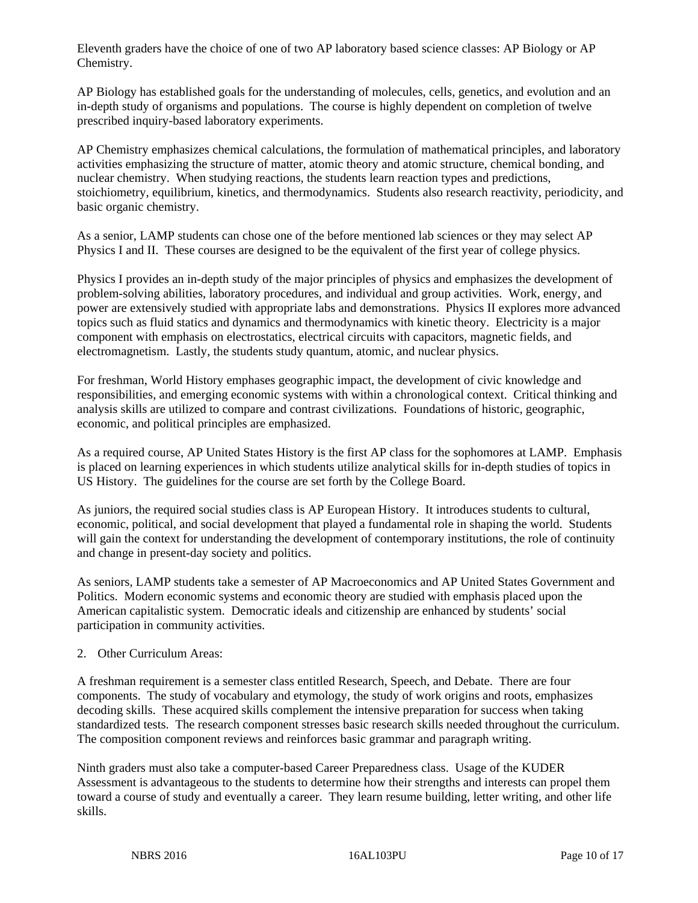Eleventh graders have the choice of one of two AP laboratory based science classes: AP Biology or AP Chemistry.

AP Biology has established goals for the understanding of molecules, cells, genetics, and evolution and an in-depth study of organisms and populations. The course is highly dependent on completion of twelve prescribed inquiry-based laboratory experiments.

AP Chemistry emphasizes chemical calculations, the formulation of mathematical principles, and laboratory activities emphasizing the structure of matter, atomic theory and atomic structure, chemical bonding, and nuclear chemistry. When studying reactions, the students learn reaction types and predictions, stoichiometry, equilibrium, kinetics, and thermodynamics. Students also research reactivity, periodicity, and basic organic chemistry.

As a senior, LAMP students can chose one of the before mentioned lab sciences or they may select AP Physics I and II. These courses are designed to be the equivalent of the first year of college physics.

Physics I provides an in-depth study of the major principles of physics and emphasizes the development of problem-solving abilities, laboratory procedures, and individual and group activities. Work, energy, and power are extensively studied with appropriate labs and demonstrations. Physics II explores more advanced topics such as fluid statics and dynamics and thermodynamics with kinetic theory. Electricity is a major component with emphasis on electrostatics, electrical circuits with capacitors, magnetic fields, and electromagnetism. Lastly, the students study quantum, atomic, and nuclear physics.

For freshman, World History emphases geographic impact, the development of civic knowledge and responsibilities, and emerging economic systems with within a chronological context. Critical thinking and analysis skills are utilized to compare and contrast civilizations. Foundations of historic, geographic, economic, and political principles are emphasized.

As a required course, AP United States History is the first AP class for the sophomores at LAMP. Emphasis is placed on learning experiences in which students utilize analytical skills for in-depth studies of topics in US History. The guidelines for the course are set forth by the College Board.

As juniors, the required social studies class is AP European History. It introduces students to cultural, economic, political, and social development that played a fundamental role in shaping the world. Students will gain the context for understanding the development of contemporary institutions, the role of continuity and change in present-day society and politics.

As seniors, LAMP students take a semester of AP Macroeconomics and AP United States Government and Politics. Modern economic systems and economic theory are studied with emphasis placed upon the American capitalistic system. Democratic ideals and citizenship are enhanced by students' social participation in community activities.

#### 2. Other Curriculum Areas:

A freshman requirement is a semester class entitled Research, Speech, and Debate. There are four components. The study of vocabulary and etymology, the study of work origins and roots, emphasizes decoding skills. These acquired skills complement the intensive preparation for success when taking standardized tests. The research component stresses basic research skills needed throughout the curriculum. The composition component reviews and reinforces basic grammar and paragraph writing.

Ninth graders must also take a computer-based Career Preparedness class. Usage of the KUDER Assessment is advantageous to the students to determine how their strengths and interests can propel them toward a course of study and eventually a career. They learn resume building, letter writing, and other life skills.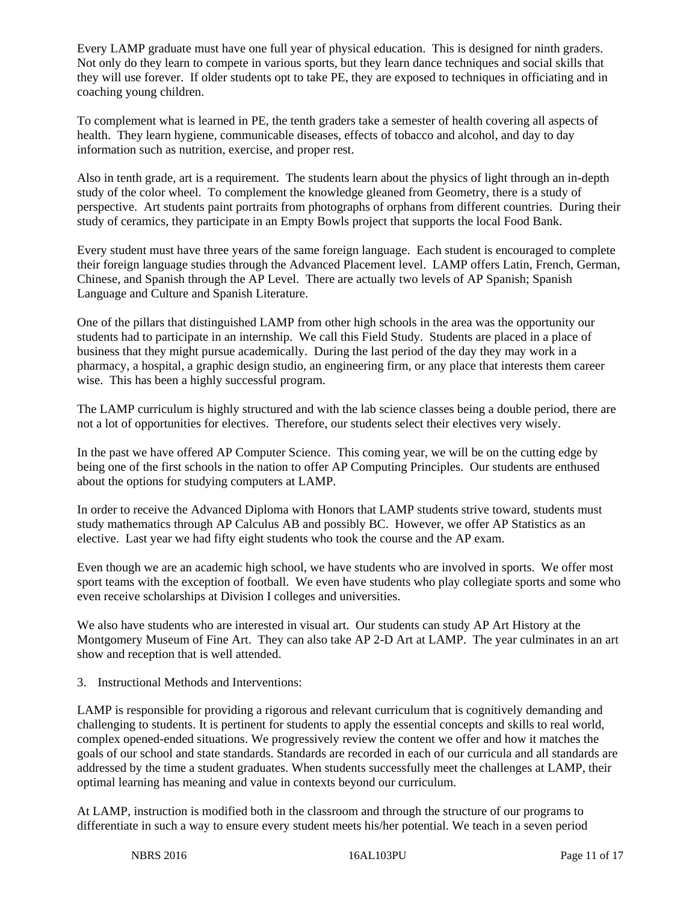Every LAMP graduate must have one full year of physical education. This is designed for ninth graders. Not only do they learn to compete in various sports, but they learn dance techniques and social skills that they will use forever. If older students opt to take PE, they are exposed to techniques in officiating and in coaching young children.

To complement what is learned in PE, the tenth graders take a semester of health covering all aspects of health. They learn hygiene, communicable diseases, effects of tobacco and alcohol, and day to day information such as nutrition, exercise, and proper rest.

Also in tenth grade, art is a requirement. The students learn about the physics of light through an in-depth study of the color wheel. To complement the knowledge gleaned from Geometry, there is a study of perspective. Art students paint portraits from photographs of orphans from different countries. During their study of ceramics, they participate in an Empty Bowls project that supports the local Food Bank.

Every student must have three years of the same foreign language. Each student is encouraged to complete their foreign language studies through the Advanced Placement level. LAMP offers Latin, French, German, Chinese, and Spanish through the AP Level. There are actually two levels of AP Spanish; Spanish Language and Culture and Spanish Literature.

One of the pillars that distinguished LAMP from other high schools in the area was the opportunity our students had to participate in an internship. We call this Field Study. Students are placed in a place of business that they might pursue academically. During the last period of the day they may work in a pharmacy, a hospital, a graphic design studio, an engineering firm, or any place that interests them career wise. This has been a highly successful program.

The LAMP curriculum is highly structured and with the lab science classes being a double period, there are not a lot of opportunities for electives. Therefore, our students select their electives very wisely.

In the past we have offered AP Computer Science. This coming year, we will be on the cutting edge by being one of the first schools in the nation to offer AP Computing Principles. Our students are enthused about the options for studying computers at LAMP.

In order to receive the Advanced Diploma with Honors that LAMP students strive toward, students must study mathematics through AP Calculus AB and possibly BC. However, we offer AP Statistics as an elective. Last year we had fifty eight students who took the course and the AP exam.

Even though we are an academic high school, we have students who are involved in sports. We offer most sport teams with the exception of football. We even have students who play collegiate sports and some who even receive scholarships at Division I colleges and universities.

We also have students who are interested in visual art. Our students can study AP Art History at the Montgomery Museum of Fine Art. They can also take AP 2-D Art at LAMP. The year culminates in an art show and reception that is well attended.

3. Instructional Methods and Interventions:

LAMP is responsible for providing a rigorous and relevant curriculum that is cognitively demanding and challenging to students. It is pertinent for students to apply the essential concepts and skills to real world, complex opened-ended situations. We progressively review the content we offer and how it matches the goals of our school and state standards. Standards are recorded in each of our curricula and all standards are addressed by the time a student graduates. When students successfully meet the challenges at LAMP, their optimal learning has meaning and value in contexts beyond our curriculum.

At LAMP, instruction is modified both in the classroom and through the structure of our programs to differentiate in such a way to ensure every student meets his/her potential. We teach in a seven period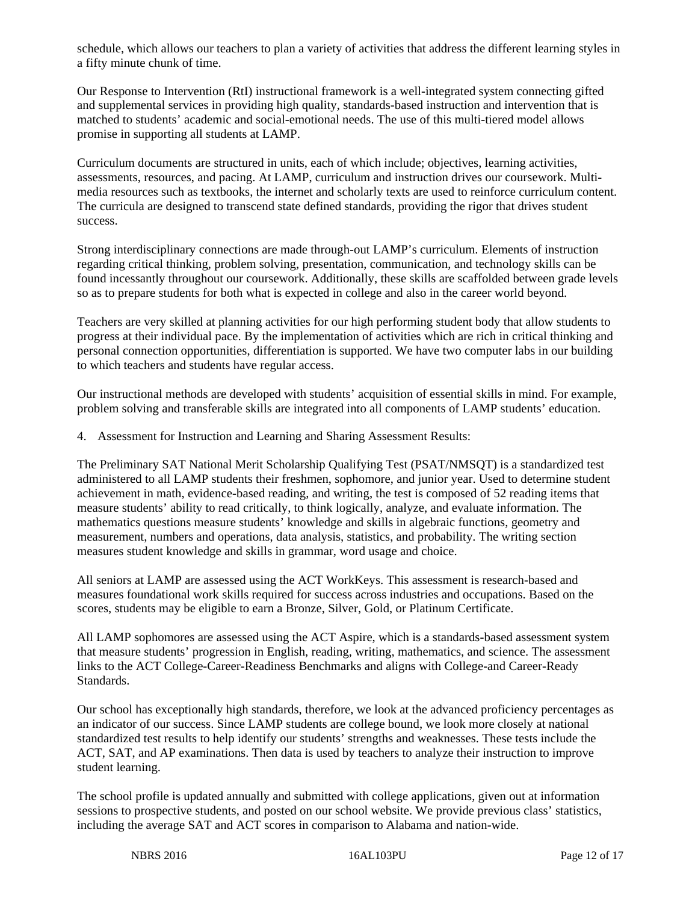schedule, which allows our teachers to plan a variety of activities that address the different learning styles in a fifty minute chunk of time.

Our Response to Intervention (RtI) instructional framework is a well-integrated system connecting gifted and supplemental services in providing high quality, standards-based instruction and intervention that is matched to students' academic and social-emotional needs. The use of this multi-tiered model allows promise in supporting all students at LAMP.

Curriculum documents are structured in units, each of which include; objectives, learning activities, assessments, resources, and pacing. At LAMP, curriculum and instruction drives our coursework. Multimedia resources such as textbooks, the internet and scholarly texts are used to reinforce curriculum content. The curricula are designed to transcend state defined standards, providing the rigor that drives student success.

Strong interdisciplinary connections are made through-out LAMP's curriculum. Elements of instruction regarding critical thinking, problem solving, presentation, communication, and technology skills can be found incessantly throughout our coursework. Additionally, these skills are scaffolded between grade levels so as to prepare students for both what is expected in college and also in the career world beyond.

Teachers are very skilled at planning activities for our high performing student body that allow students to progress at their individual pace. By the implementation of activities which are rich in critical thinking and personal connection opportunities, differentiation is supported. We have two computer labs in our building to which teachers and students have regular access.

Our instructional methods are developed with students' acquisition of essential skills in mind. For example, problem solving and transferable skills are integrated into all components of LAMP students' education.

4. Assessment for Instruction and Learning and Sharing Assessment Results:

The Preliminary SAT National Merit Scholarship Qualifying Test (PSAT/NMSQT) is a standardized test administered to all LAMP students their freshmen, sophomore, and junior year. Used to determine student achievement in math, evidence-based reading, and writing, the test is composed of 52 reading items that measure students' ability to read critically, to think logically, analyze, and evaluate information. The mathematics questions measure students' knowledge and skills in algebraic functions, geometry and measurement, numbers and operations, data analysis, statistics, and probability. The writing section measures student knowledge and skills in grammar, word usage and choice.

All seniors at LAMP are assessed using the ACT WorkKeys. This assessment is research-based and measures foundational work skills required for success across industries and occupations. Based on the scores, students may be eligible to earn a Bronze, Silver, Gold, or Platinum Certificate.

All LAMP sophomores are assessed using the ACT Aspire, which is a standards-based assessment system that measure students' progression in English, reading, writing, mathematics, and science. The assessment links to the ACT College-Career-Readiness Benchmarks and aligns with College-and Career-Ready Standards.

Our school has exceptionally high standards, therefore, we look at the advanced proficiency percentages as an indicator of our success. Since LAMP students are college bound, we look more closely at national standardized test results to help identify our students' strengths and weaknesses. These tests include the ACT, SAT, and AP examinations. Then data is used by teachers to analyze their instruction to improve student learning.

The school profile is updated annually and submitted with college applications, given out at information sessions to prospective students, and posted on our school website. We provide previous class' statistics, including the average SAT and ACT scores in comparison to Alabama and nation-wide.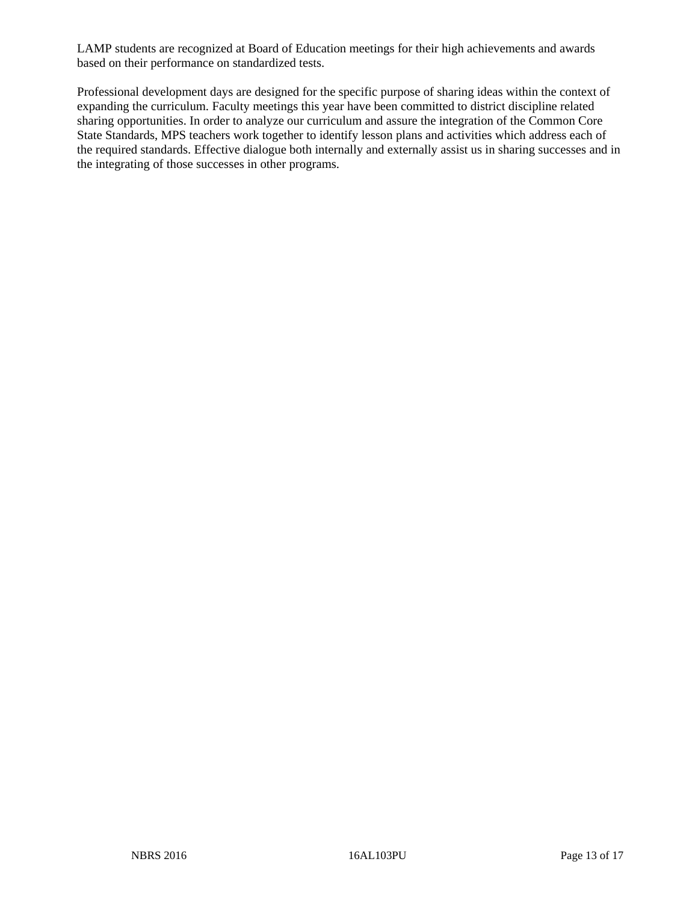LAMP students are recognized at Board of Education meetings for their high achievements and awards based on their performance on standardized tests.

Professional development days are designed for the specific purpose of sharing ideas within the context of expanding the curriculum. Faculty meetings this year have been committed to district discipline related sharing opportunities. In order to analyze our curriculum and assure the integration of the Common Core State Standards, MPS teachers work together to identify lesson plans and activities which address each of the required standards. Effective dialogue both internally and externally assist us in sharing successes and in the integrating of those successes in other programs.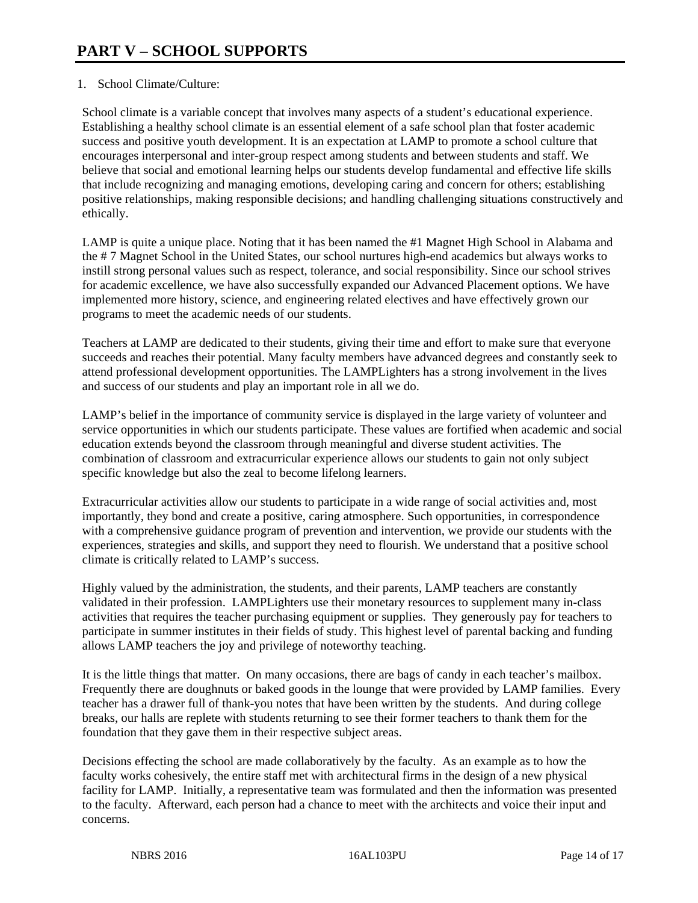# 1. School Climate/Culture:

School climate is a variable concept that involves many aspects of a student's educational experience. Establishing a healthy school climate is an essential element of a safe school plan that foster academic success and positive youth development. It is an expectation at LAMP to promote a school culture that encourages interpersonal and inter-group respect among students and between students and staff. We believe that social and emotional learning helps our students develop fundamental and effective life skills that include recognizing and managing emotions, developing caring and concern for others; establishing positive relationships, making responsible decisions; and handling challenging situations constructively and ethically.

LAMP is quite a unique place. Noting that it has been named the #1 Magnet High School in Alabama and the # 7 Magnet School in the United States, our school nurtures high-end academics but always works to instill strong personal values such as respect, tolerance, and social responsibility. Since our school strives for academic excellence, we have also successfully expanded our Advanced Placement options. We have implemented more history, science, and engineering related electives and have effectively grown our programs to meet the academic needs of our students.

Teachers at LAMP are dedicated to their students, giving their time and effort to make sure that everyone succeeds and reaches their potential. Many faculty members have advanced degrees and constantly seek to attend professional development opportunities. The LAMPLighters has a strong involvement in the lives and success of our students and play an important role in all we do.

LAMP's belief in the importance of community service is displayed in the large variety of volunteer and service opportunities in which our students participate. These values are fortified when academic and social education extends beyond the classroom through meaningful and diverse student activities. The combination of classroom and extracurricular experience allows our students to gain not only subject specific knowledge but also the zeal to become lifelong learners.

Extracurricular activities allow our students to participate in a wide range of social activities and, most importantly, they bond and create a positive, caring atmosphere. Such opportunities, in correspondence with a comprehensive guidance program of prevention and intervention, we provide our students with the experiences, strategies and skills, and support they need to flourish. We understand that a positive school climate is critically related to LAMP's success.

Highly valued by the administration, the students, and their parents, LAMP teachers are constantly validated in their profession. LAMPLighters use their monetary resources to supplement many in-class activities that requires the teacher purchasing equipment or supplies. They generously pay for teachers to participate in summer institutes in their fields of study. This highest level of parental backing and funding allows LAMP teachers the joy and privilege of noteworthy teaching.

It is the little things that matter. On many occasions, there are bags of candy in each teacher's mailbox. Frequently there are doughnuts or baked goods in the lounge that were provided by LAMP families. Every teacher has a drawer full of thank-you notes that have been written by the students. And during college breaks, our halls are replete with students returning to see their former teachers to thank them for the foundation that they gave them in their respective subject areas.

Decisions effecting the school are made collaboratively by the faculty. As an example as to how the faculty works cohesively, the entire staff met with architectural firms in the design of a new physical facility for LAMP. Initially, a representative team was formulated and then the information was presented to the faculty. Afterward, each person had a chance to meet with the architects and voice their input and concerns.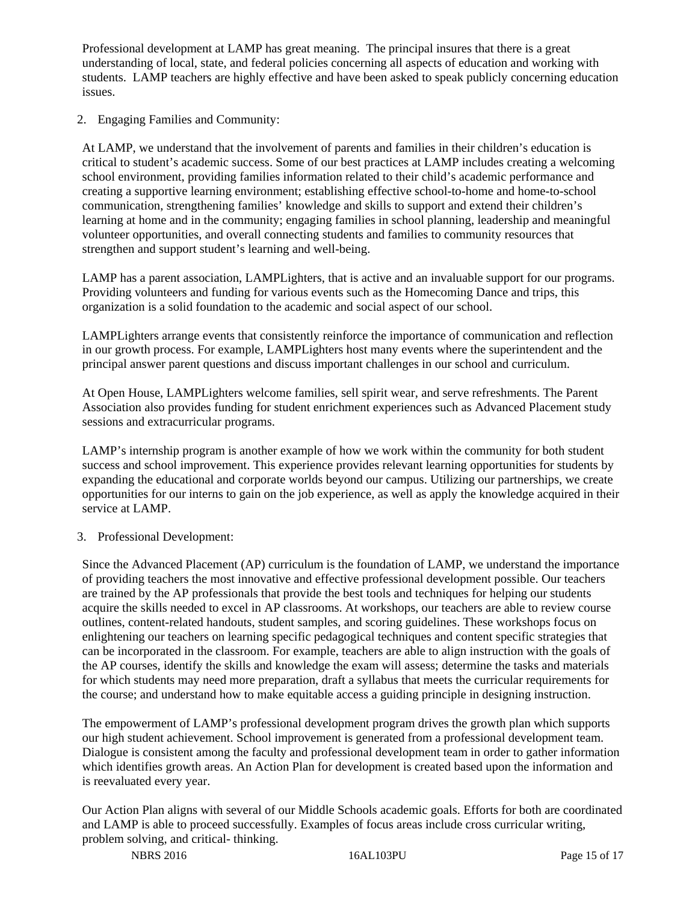Professional development at LAMP has great meaning. The principal insures that there is a great understanding of local, state, and federal policies concerning all aspects of education and working with students. LAMP teachers are highly effective and have been asked to speak publicly concerning education issues.

2. Engaging Families and Community:

At LAMP, we understand that the involvement of parents and families in their children's education is critical to student's academic success. Some of our best practices at LAMP includes creating a welcoming school environment, providing families information related to their child's academic performance and creating a supportive learning environment; establishing effective school-to-home and home-to-school communication, strengthening families' knowledge and skills to support and extend their children's learning at home and in the community; engaging families in school planning, leadership and meaningful volunteer opportunities, and overall connecting students and families to community resources that strengthen and support student's learning and well-being.

LAMP has a parent association, LAMPLighters, that is active and an invaluable support for our programs. Providing volunteers and funding for various events such as the Homecoming Dance and trips, this organization is a solid foundation to the academic and social aspect of our school.

LAMPLighters arrange events that consistently reinforce the importance of communication and reflection in our growth process. For example, LAMPLighters host many events where the superintendent and the principal answer parent questions and discuss important challenges in our school and curriculum.

At Open House, LAMPLighters welcome families, sell spirit wear, and serve refreshments. The Parent Association also provides funding for student enrichment experiences such as Advanced Placement study sessions and extracurricular programs.

LAMP's internship program is another example of how we work within the community for both student success and school improvement. This experience provides relevant learning opportunities for students by expanding the educational and corporate worlds beyond our campus. Utilizing our partnerships, we create opportunities for our interns to gain on the job experience, as well as apply the knowledge acquired in their service at LAMP.

# 3. Professional Development:

Since the Advanced Placement (AP) curriculum is the foundation of LAMP, we understand the importance of providing teachers the most innovative and effective professional development possible. Our teachers are trained by the AP professionals that provide the best tools and techniques for helping our students acquire the skills needed to excel in AP classrooms. At workshops, our teachers are able to review course outlines, content-related handouts, student samples, and scoring guidelines. These workshops focus on enlightening our teachers on learning specific pedagogical techniques and content specific strategies that can be incorporated in the classroom. For example, teachers are able to align instruction with the goals of the AP courses, identify the skills and knowledge the exam will assess; determine the tasks and materials for which students may need more preparation, draft a syllabus that meets the curricular requirements for the course; and understand how to make equitable access a guiding principle in designing instruction.

The empowerment of LAMP's professional development program drives the growth plan which supports our high student achievement. School improvement is generated from a professional development team. Dialogue is consistent among the faculty and professional development team in order to gather information which identifies growth areas. An Action Plan for development is created based upon the information and is reevaluated every year.

Our Action Plan aligns with several of our Middle Schools academic goals. Efforts for both are coordinated and LAMP is able to proceed successfully. Examples of focus areas include cross curricular writing, problem solving, and critical- thinking.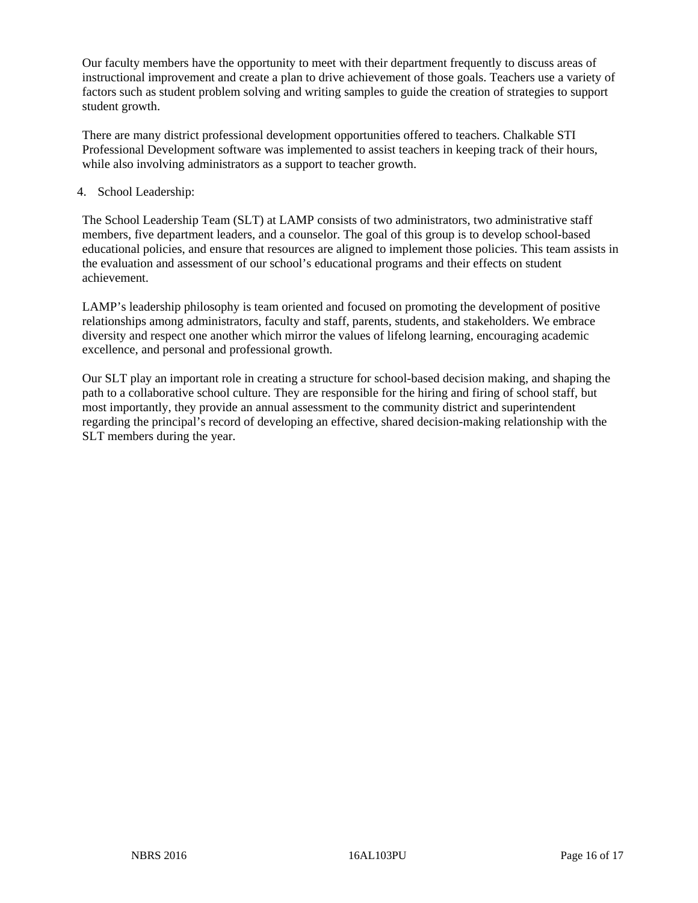Our faculty members have the opportunity to meet with their department frequently to discuss areas of instructional improvement and create a plan to drive achievement of those goals. Teachers use a variety of factors such as student problem solving and writing samples to guide the creation of strategies to support student growth.

There are many district professional development opportunities offered to teachers. Chalkable STI Professional Development software was implemented to assist teachers in keeping track of their hours, while also involving administrators as a support to teacher growth.

# 4. School Leadership:

The School Leadership Team (SLT) at LAMP consists of two administrators, two administrative staff members, five department leaders, and a counselor. The goal of this group is to develop school-based educational policies, and ensure that resources are aligned to implement those policies. This team assists in the evaluation and assessment of our school's educational programs and their effects on student achievement.

LAMP's leadership philosophy is team oriented and focused on promoting the development of positive relationships among administrators, faculty and staff, parents, students, and stakeholders. We embrace diversity and respect one another which mirror the values of lifelong learning, encouraging academic excellence, and personal and professional growth.

Our SLT play an important role in creating a structure for school-based decision making, and shaping the path to a collaborative school culture. They are responsible for the hiring and firing of school staff, but most importantly, they provide an annual assessment to the community district and superintendent regarding the principal's record of developing an effective, shared decision-making relationship with the SLT members during the year.